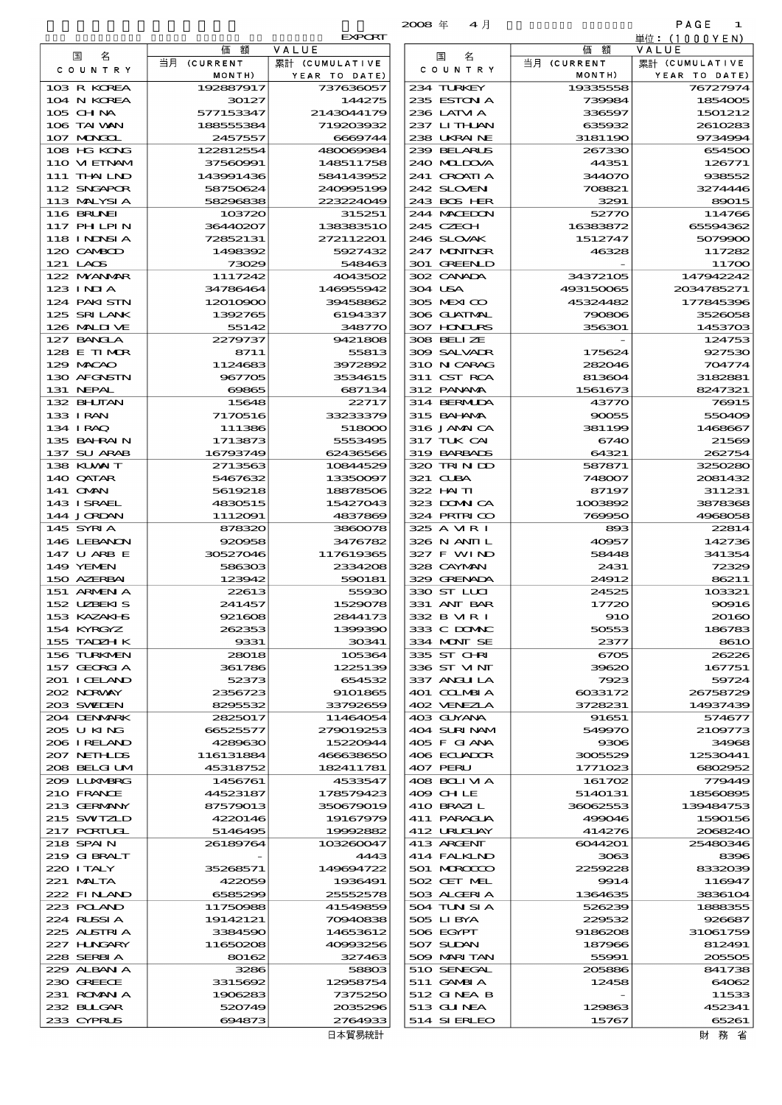|                              |                        |                         | $2008$ $\#$<br>4月           |                       | PAGE<br>1               |
|------------------------------|------------------------|-------------------------|-----------------------------|-----------------------|-------------------------|
|                              |                        | <b>EXPORT</b>           |                             |                       | 単位:(1000YEN)            |
| 名<br>国                       | 価<br>額<br>当月 (CURRENT  | VALUE<br>累計 (CUMULATIVE | 名<br>国                      | 額<br>価<br>当月 (CURRENT | VALUE<br>累計 (CUMULATIVE |
| COUNTRY                      | MONTH)                 | YEAR TO DATE)           | C O U N T R Y               | MONTH)                | YEAR TO DATE)           |
| 103 R KOREA                  | 192887917              | 737636057               | 234 TURKEY                  | 19335558              | 76727974                |
| 104 N KOREA                  | 30127                  | 144275                  | 235 ESTON A                 | 739984                | 1854005                 |
| 105 CHNA<br>106 TAI WAN      | 577153347<br>188555384 | 2143044179<br>719203932 | 236 LATM A<br>237 LITHAN    | 336597<br>635932      | 1501212<br>2610283      |
| 107 MNGCL                    | 2457557                | 6669744                 | 238 UKRAINE                 | 3181190               | 9734994                 |
| 108 HG KONG                  | 122812554              | 480069984               | 239 BELARUS                 | 267330                | 654500                  |
| 110 VIEINAM                  | 37560991               | 148511758               | 240 MIDJA                   | 44351                 | 126771                  |
| 111 THAILND                  | 143991436              | 584143952               | 241 CROATIA                 | 344070                | 938552                  |
| 112 SNGAPOR<br>113 MALYSIA   | 58750624<br>58296838   | 240995199<br>223224049  | 242 SLOVEN<br>243 BOS HER   | 708821<br>3291        | 3274446<br>89015        |
| <b>116 BRUNEI</b>            | 103720                 | 315251                  | 244 MACEDON                 | 52770                 | 114766                  |
| 117 PH LPIN                  | 36440207               | 138383510               | 245 CZECH                   | 16383872              | 65594362                |
| 118 I NDSI A                 | 72852131               | 272112201               | 246 SLOVAK                  | 1512747               | 5079900                 |
| 120 CAMBOD                   | 1498392                | 5927432                 | 247 MONINGR                 | 46328                 | 117282                  |
| 121 LAOS<br>122 MYANAR       | 73029<br>1117242       | 548463<br>4043502       | 301 GREENLD<br>302 CANADA   | 34372105              | 11700<br>147942242      |
| 123 INJA                     | 34786464               | 146955942               | 304 USA                     | 493150065             | 2034785271              |
| 124 PAKISTN                  | 12010900               | 39458862                | 305 MEXICO                  | 45324482              | 177845396               |
| 125 SRILANK                  | 1392765                | 6194337                 | 306 GUATMAL                 | 790806                | 3526058                 |
| 126 MALINE                   | 55142                  | 348770                  | 307 HODURS                  | 356301                | 1453703                 |
| 127 BANCLA<br>128 E TIMOR    | 2279737<br>8711        | 9421808<br>55813        | 308 BELLZE<br>309 SALVADR   | 175624                | 124753<br>927530        |
| 129 MACAO                    | 1124683                | 3972892                 | 310 N CARAG                 | 282046                | 704774                  |
| 130 AFGNSTN                  | 967705                 | 3534615                 | 311 CST RCA                 | 813604                | 3182881                 |
| 131 NEPAL                    | 69865                  | 687134                  | 312 PANAMA                  | 1561673               | 8247321                 |
| 132 BHUTAN<br>133 IRAN       | 15648                  | 22717<br>33233379       | 314 BERMIDA<br>315 BAI ANA  | 43770                 | 76915                   |
| 134 IRAQ                     | 7170516<br>111386      | 518000                  | 316 JAMAICA                 | 90055<br>381199       | 550409<br>1468667       |
| 135 BAHRAIN                  | 1713873                | 5553495                 | 317 TUK CAI                 | 6740                  | 21569                   |
| 137 SU ARAB                  | 16793749               | 62436566                | 319 BARBADS                 | 64321                 | 262754                  |
| 138 KUWAIT                   | 2713563                | 10844529                | 320 TRINDO                  | 587871                | 3250280                 |
| 140 QATAR<br>141 CMAN        | 5467632<br>5619218     | 13350097<br>18878506    | 321 CLBA<br>322 HAITI       | 748007<br>87197       | 2081432<br>311231       |
| 143 ISRAEL                   | 4830515                | 15427043                | 323 DOMNICA                 | 1003892               | 3878368                 |
| 144 JORDAN                   | 1112001                | 4837869                 | 324 PRIRICO                 | 769950                | 4968058                 |
| 145 SYRIA                    | 878320                 | 3860078                 | 325 A MRI                   | 893                   | 22814                   |
| 146 LEBANON                  | 920958                 | 3476782                 | 326 N ANII L                | 40957<br>58448        | 142736                  |
| 147 U ARB E<br>149 YEMEN     | 30527046<br>586303     | 117619365<br>2334208    | 327 F WIND<br>328 CAYMAN    | 2431                  | 341354<br>72329         |
| 150 AZERBAI                  | 123942                 | 590181                  | 329 GRENADA                 | 24912                 | 86211                   |
| 151 ARMENIA                  | 22613                  | 55930                   | 330 ST LUI                  | 24525                 | 103321                  |
| 152 UZEKIS                   | 241457                 | 1529078                 | 331 ANT BAR                 | 17720                 | 90916                   |
| 153 KAZAKI-IS<br>154 KYRGYZ  | 921608<br>262353       | 2844173<br>1399390      | 332 B MR I<br>333 C DOMAC   | 910<br>50553          | 20160<br>186783         |
| 155 TADZH K                  | 9331                   | 30341                   | 334 MONT SE                 | 2377                  | <b>8610</b>             |
| 156 TURKMEN                  | 28018                  | 105364                  | 335 ST CHRI                 | 6705                  | 26226                   |
| 157 GEORGIA                  | 361786                 | 1225139                 | 336 ST VINT                 | 39620                 | 167751                  |
| 201 I CELAND<br>202 NORWAY   | 52373<br>2356723       | 654532                  | 337 ANGU LA<br>401 COLMBI A | 7923                  | 59724                   |
| 203 SWIDEN                   | 8295532                | 9101865<br>33792659     | 402 VENEZIA                 | 6033172<br>3728231    | 26758729<br>14937439    |
| 204 DENMARK                  | 2825017                | 11464054                | 403 GUYANA                  | 91651                 | 574677                  |
| 205 U KING                   | 66525577               | 279019253               | 404 SURINAM                 | 549970                | 2109773                 |
| 206 I RELAND                 | 4289630                | 15220044                | 405 F GIANA                 | 9306                  | 34968                   |
| 207 NETH LIS<br>208 BELGI UM | 116131884<br>45318752  | 466638650<br>182411781  | 406 ECUADOR<br>407 PERU     | 3005529<br>1771023    | 12530441<br>6802952     |
| 2009 LUNABRG                 | 1456761                | 4533547                 | 408 BOLIMA                  | 161702                | 779449                  |
| 210 FRANCE                   | 44523187               | 178579423               | 409 CH LE                   | 5140131               | 18560895                |
| 213 GERMANY                  | 87579013               | 350679019               | 410 BRAZIL                  | 36062553              | 139484753               |
| 215 SWIZLD<br>217 PORTUGL    | 4220146<br>5146495     | 19167979<br>19992882    | 411 PARAGUA<br>412 URUCLAY  | 499046<br>414276      | 1590156<br>2068240      |
| 218 SPAIN                    | 26189764               | 103260047               | 413 ARGENT                  | 6044201               | 25480346                |
| 219 GIBRALT                  |                        | 4443                    | 414 FALKLND                 | 3063                  | 8396                    |
| 220 I TALY                   | 35268571               | 149694722               | 501 MROCCO                  | 2259228               | 8332039                 |
| 221 MALTA                    | 422059                 | 1936491                 | 502 CET MEL                 | 9914                  | 116947                  |
| 222 FINLAND<br>223 POLAND    | 6585299<br>11750988    | 25552578<br>41549859    | 503 ALGERIA<br>504 TUN SI A | 1364635<br>526239     | 3836104<br>1888355      |
| 224 RUSSI A                  | 19142121               | 70940838                | 505 LIBYA                   | 229532                | 926687                  |
| 225 ALSTRIA                  | 3384590                | 14653612                | 506 EGYPT                   | 9186208               | 31061759                |
| 227 HUNGARY                  | 11650208               | 40993256                | 507 SUDAN                   | 187966                | 812491                  |
| 228 SERBIA<br>229 ALBAN A    | 80162<br>3286          | 327463<br>58803         | 509 MARI TAN<br>510 SENEGAL | 55991<br>205886       | 205505<br>841738        |
| 230 GREECE                   | 3315692                | 12958754                | 511 GAMBIA                  | 12458                 | 64062                   |
| 231 ROMAN A                  | 1906283                | 7375250                 | 512 GINEA B                 |                       | 11533                   |
| 232 BULGAR                   | 520749                 | 2035296                 | 513 GUNEA                   | 129863                | 452341                  |
| 233 CYPRUS                   | 694873                 | 2764933                 | 514 SIERLEO                 | 15767                 | 65261                   |

|                            |                     | <b>EXPORT</b>        |
|----------------------------|---------------------|----------------------|
| 国<br>名                     | 額<br>価              | VALUE                |
| C O U N T R Y              | 当月 (CURRENT         | 累計 (CUMULATIVE       |
|                            | MONTH)              | YEAR TO DATE)        |
| IOBR KOREA<br>104 N KOREA  | 192887917<br>30127  | 737636057<br>144275  |
| 105 CH NA                  | 577153347           | 2143044179           |
| 106 TAI WAN                | 188555384           | 719203932            |
| 107 MONGOL                 | 2457557             | 6669744              |
| 108 HG KONG                | 122812554           | 480069984            |
| 110 VIEINAM                | 37560991            | 148511758            |
| 111 THAILND                | 143991436           | 584143952            |
| 112 SNGAPOR                | 58750624            | 240995199            |
| 113 MALYSI A               | 58296838            | 223224049            |
| 116 BRUNEI                 | 103720              | 315251               |
| 117 PH LPIN                | 36440207            | 138383510            |
| 118 I NINSI A              | 72852131            | 272112201            |
| 1200 CAMBOD                | 1498392             | 5927432              |
| 121 LAOS<br>122 MYANMAR    | 73029               | 548463               |
| 123 I NI A                 | 1117242<br>34786464 | 4043502<br>146955942 |
| 124 PAKISTN                | 12010900            | 39458862             |
| 125 SRILANK                | 1392765             | 6194337              |
| 126 MALIJ VE               | 55142               | 348770               |
| 127 BANCLA                 | 2279737             | 9421808              |
| 128 E TIMOR                | 8711                | 55813                |
| 129 MACAO                  | 1124683             | 3972892              |
| 130 AFGNSTN                | 967705              | 3534615              |
| 131 NEPAL                  | 69865               | 687134               |
| 132 BHUTAN                 | 15648               | 22717                |
| 133 I RAN                  | 7170516             | 33233379             |
| 134 I RAQ                  | 111386              | 518000               |
| 135 BAHRAIN<br>137 SU ARAB | 1713873<br>16793749 | 5553495<br>62436566  |
| 138 KUWAIT                 | 2713563             | 10844529             |
| 140 QATAR                  | 5467632             | 13350097             |
| 141 OMN                    | 5619218             | 18878506             |
| 143 ISRAEL                 | 4830515             | 15427043             |
| 144 JORDAN                 | 1112001             | 4837869              |
| 145 SYRI A                 | 878320              | 3860078              |
| 146 LEBANON                | 920958              | 3476782              |
| 147 U ARBE<br>149 YEMEN    | 30527046            | 117619365            |
| 150 AZERBAI                | 586303<br>123942    | 2334208<br>590181    |
| 151 ARMENIA                | 22613               | 55930                |
| 152 UZBEKIS                | 241457              | 1529078              |
| 153 KAZAKI B               | 921608              | 2844173              |
| 154 KYRGYZ                 | 262353              | 1399390              |
| 155 TADZH K                | 9331                | 30341                |
| 156 TURKMEN                | 28018               | 105364               |
| 157 GEORGIA                | 361786              | 1225139              |
| 201 I CELAND               | 52373               | 654532               |
| 202 NORWAY                 | 2356723             | 9101865              |
| 203 SVELEN<br>304 DENMARK  | 8295532<br>2825017  | 33792659<br>11464054 |
| 305 U KING                 | 66525577            | 279019253            |
| 206 I RELAND               | 4289630             | 15220044             |
| <b>207 NETHLIS</b>         | 116131884           | 466638650            |
| 308 BELGI UM               | 45318752            | 182411781            |
| 2009 LUNABRG               | 1456761             | 4533547              |
| 210 FRANCE                 | 44523187            | 178579423            |
| 213 GERNANY                | 87579013            | 350679019            |
| 215 SWTZLD                 | 4220146             | 19167979             |
| <b>217 PORIUGL</b>         | 5146495             | 19992882             |
| 218 SPAIN                  | 26189764            | 103260047            |
| 219 GIBRALT<br>220 I TALY  | 35268571            | 4443<br>149694722    |
| 221 MALTA                  | 422059              | 1936491              |
| 222 FINLAND                | 6585299             | 25552578             |
| 223 POLAND                 | 11750988            | 41549859             |
| 224 RUSSI A                | 19142121            | 70940838             |
| 225 ALSTRIA                | 3384590             | 14653612             |
| 227 H.NGARY                | 11650208            | 40933256             |
| 228 SERBIA                 | 80162               | 327463               |
| 229 ALBAN A                | 3286                | 58803                |
| 230 GREECE                 | 3315692             | 12958754             |
| 231 ROMANIA<br>232 BULGAR  | 1906283<br>520749   | 7375250<br>2035296   |
| 233 CYPRUS                 | 694873              | 2764933              |
|                            |                     | $+52.5$              |

財務省